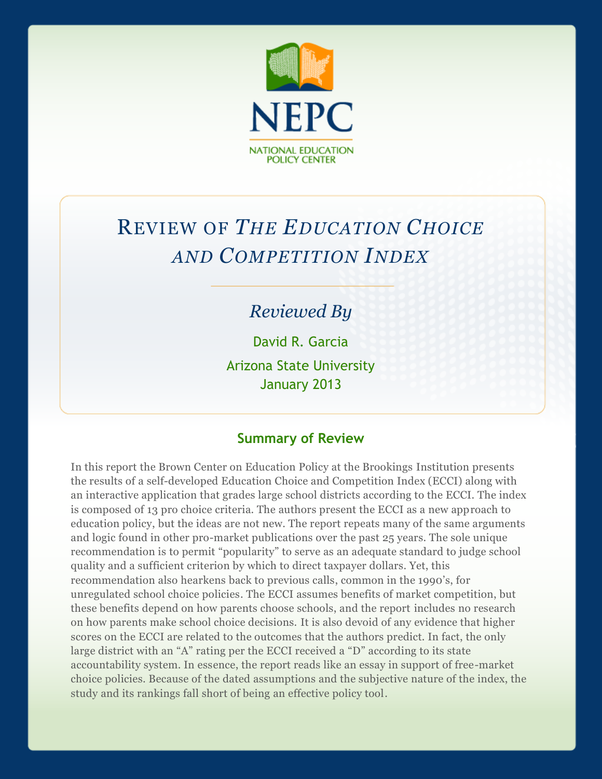

# REVIEW OF *THE EDUCATION CHOICE AND COMPETITION INDEX*

# *Reviewed By*

David R. Garcia Arizona State University January 2013

#### **Summary of Review**

In this report the Brown Center on Education Policy at the Brookings Institution presents the results of a self-developed Education Choice and Competition Index (ECCI) along with an interactive application that grades large school districts according to the ECCI. The index is composed of 13 pro choice criteria. The authors present the ECCI as a new approach to education policy, but the ideas are not new. The report repeats many of the same arguments and logic found in other pro-market publications over the past 25 years. The sole unique recommendation is to permit "popularity" to serve as an adequate standard to judge school quality and a sufficient criterion by which to direct taxpayer dollars. Yet, this recommendation also hearkens back to previous calls, common in the 1990's, for unregulated school choice policies. The ECCI assumes benefits of market competition, but these benefits depend on how parents choose schools, and the report includes no research on how parents make school choice decisions. It is also devoid of any evidence that higher scores on the ECCI are related to the outcomes that the authors predict. In fact, the only large district with an "A" rating per the ECCI received a "D" according to its state accountability system. In essence, the report reads like an essay in support of free-market choice policies. Because of the dated assumptions and the subjective nature of the index, the study and its rankings fall short of being an effective policy tool.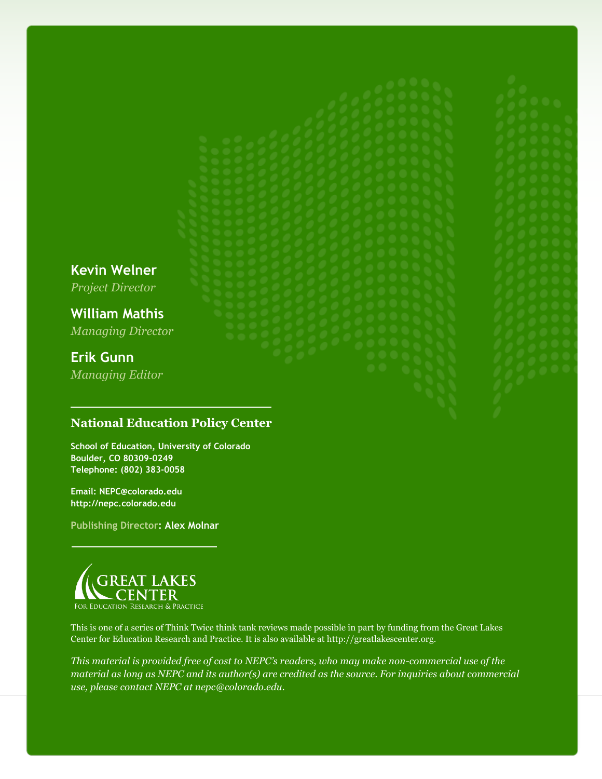**Kevin Welner**

*Project Director*

**William Mathis** *Managing Director*

# **Erik Gunn**

*Managing Editor*

#### **National Education Policy Center**

**School of Education, University of Colorado Boulder, CO 80309-0249 Telephone: (802) 383-0058**

**Email: NEPC@colorado.edu http://nepc.colorado.edu**

**Publishing Director: Alex Molnar**



This is one of a series of Think Twice think tank reviews made possible in part by funding from the Great Lakes Center for Education Research and Practice. It is also available at http://greatlakescenter.org.

*This material is provided free of cost to NEPC's readers, who may make non-commercial use of the material as long as NEPC and its author(s) are credited as the source. For inquiries about commercial use, please contact NEPC at nepc@colorado.edu.*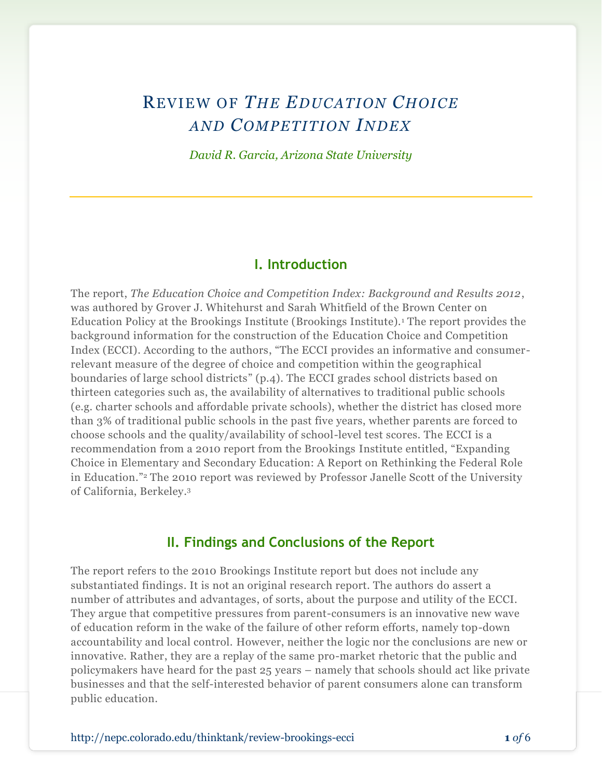# REVIEW OF *THE EDUCATION CHOICE AND COMPETITION INDEX*

*David R. Garcia, Arizona State University*

#### **I. Introduction**

The report, *The Education Choice and Competition Index: Background and Results 2012*, was authored by Grover J. Whitehurst and Sarah Whitfield of the Brown Center on Education Policy at the Brookings Institute (Brookings Institute).<sup>1</sup> The report provides the background information for the construction of the Education Choice and Competition Index (ECCI). According to the authors, "The ECCI provides an informative and consumerrelevant measure of the degree of choice and competition within the geographical boundaries of large school districts" (p.4). The ECCI grades school districts based on thirteen categories such as, the availability of alternatives to traditional public schools (e.g. charter schools and affordable private schools), whether the district has closed more than 3% of traditional public schools in the past five years, whether parents are forced to choose schools and the quality/availability of school-level test scores. The ECCI is a recommendation from a 2010 report from the Brookings Institute entitled, "Expanding Choice in Elementary and Secondary Education: A Report on Rethinking the Federal Role in Education." <sup>2</sup> The 2010 report was reviewed by Professor Janelle Scott of the University of California, Berkeley. 3

#### **II. Findings and Conclusions of the Report**

The report refers to the 2010 Brookings Institute report but does not include any substantiated findings. It is not an original research report. The authors do assert a number of attributes and advantages, of sorts, about the purpose and utility of the ECCI. They argue that competitive pressures from parent-consumers is an innovative new wave of education reform in the wake of the failure of other reform efforts, namely top-down accountability and local control. However, neither the logic nor the conclusions are new or innovative. Rather, they are a replay of the same pro-market rhetoric that the public and policymakers have heard for the past 25 years – namely that schools should act like private businesses and that the self-interested behavior of parent consumers alone can transform public education.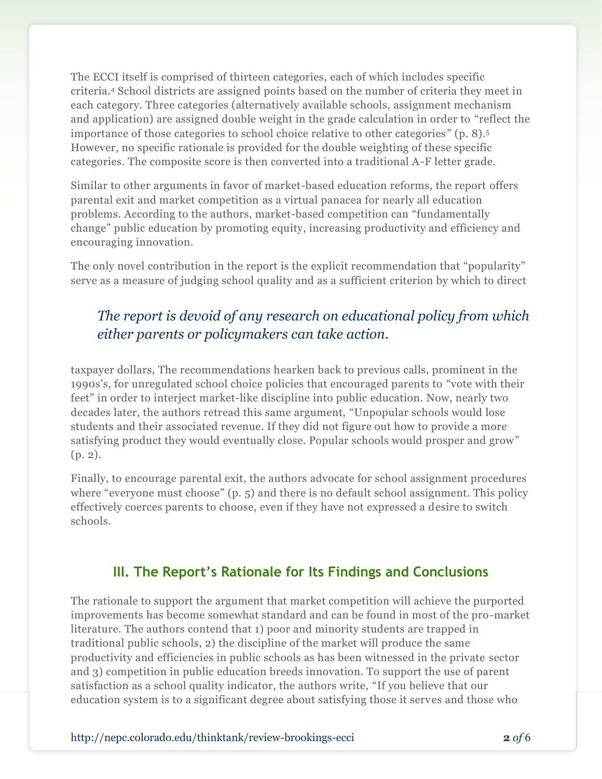The ECCI itself is comprised of thirteen categories, each of which includes specific criteria.<sup>4</sup> School districts are assigned points based on the number of criteria they meet in each category. Three categories (alternatively available schools, assignment mechanism and application) are assigned double weight in the grade calculation in order to "reflect the importance of those categories to school choice relative to other categories" (p. 8).<sup>5</sup> However, no specific rationale is provided for the double weighting of these specific categories. The composite score is then converted into a traditional A-F letter grade.

Similar to other arguments in favor of market-based education reforms, the report offers parental exit and market competition as a virtual panacea for nearly all education problems. According to the authors, market-based competition can "fundamentally change" public education by promoting equity, increasing productivity and efficiency and encouraging innovation.

The only novel contribution in the report is the explicit recommendation that "popularity" serve as a measure of judging school quality and as a sufficient criterion by which to direct

## *The report is devoid of any research on educational policy from which either parents or policymakers can take action.*

taxpayer dollars, The recommendations hearken back to previous calls, prominent in the 1990s's, for unregulated school choice policies that encouraged parents to "vote with their feet" in order to interject market-like discipline into public education. Now, nearly two decades later, the authors retread this same argument, "Unpopular schools would lose students and their associated revenue. If they did not figure out how to provide a more satisfying product they would eventually close. Popular schools would prosper and grow" (p. 2).

Finally, to encourage parental exit, the authors advocate for school assignment procedures where "everyone must choose" (p. 5) and there is no default school assignment. This policy effectively coerces parents to choose, even if they have not expressed a desire to switch schools.

### **III. The Report's Rationale for Its Findings and Conclusions**

The rationale to support the argument that market competition will achieve the purported improvements has become somewhat standard and can be found in most of the pro-market literature. The authors contend that 1) poor and minority students are trapped in traditional public schools, 2) the discipline of the market will produce the same productivity and efficiencies in public schools as has been witnessed in the private sector and 3) competition in public education breeds innovation. To support the use of parent satisfaction as a school quality indicator, the authors write, "If you believe that our education system is to a significant degree about satisfying those it serves and those who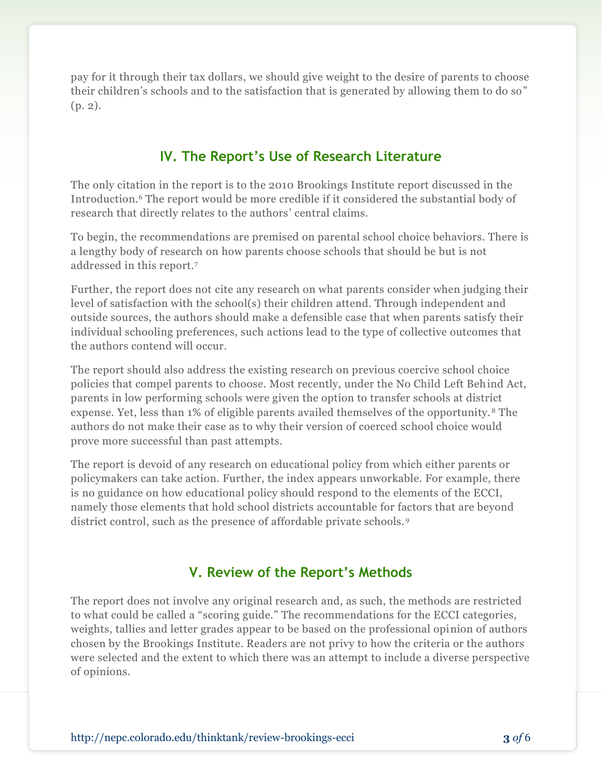pay for it through their tax dollars, we should give weight to the desire of parents to choose their children's schools and to the satisfaction that is generated by allowing them to do so" (p. 2).

#### **IV. The Report's Use of Research Literature**

The only citation in the report is to the 2010 Brookings Institute report discussed in the Introduction.<sup>6</sup> The report would be more credible if it considered the substantial body of research that directly relates to the authors' central claims.

To begin, the recommendations are premised on parental school choice behaviors. There is a lengthy body of research on how parents choose schools that should be but is not addressed in this report.<sup>7</sup>

Further, the report does not cite any research on what parents consider when judging their level of satisfaction with the school(s) their children attend. Through independent and outside sources, the authors should make a defensible case that when parents satisfy their individual schooling preferences, such actions lead to the type of collective outcomes that the authors contend will occur.

The report should also address the existing research on previous coercive school choice policies that compel parents to choose. Most recently, under the No Child Left Behind Act, parents in low performing schools were given the option to transfer schools at district expense. Yet, less than 1% of eligible parents availed themselves of the opportunity. <sup>8</sup> The authors do not make their case as to why their version of coerced school choice would prove more successful than past attempts.

The report is devoid of any research on educational policy from which either parents or policymakers can take action. Further, the index appears unworkable. For example, there is no guidance on how educational policy should respond to the elements of the ECCI, namely those elements that hold school districts accountable for factors that are beyond district control, such as the presence of affordable private schools. <sup>9</sup>

### **V. Review of the Report's Methods**

The report does not involve any original research and, as such, the methods are restricted to what could be called a "scoring guide." The recommendations for the ECCI categories, weights, tallies and letter grades appear to be based on the professional opinion of authors chosen by the Brookings Institute. Readers are not privy to how the criteria or the authors were selected and the extent to which there was an attempt to include a diverse perspective of opinions.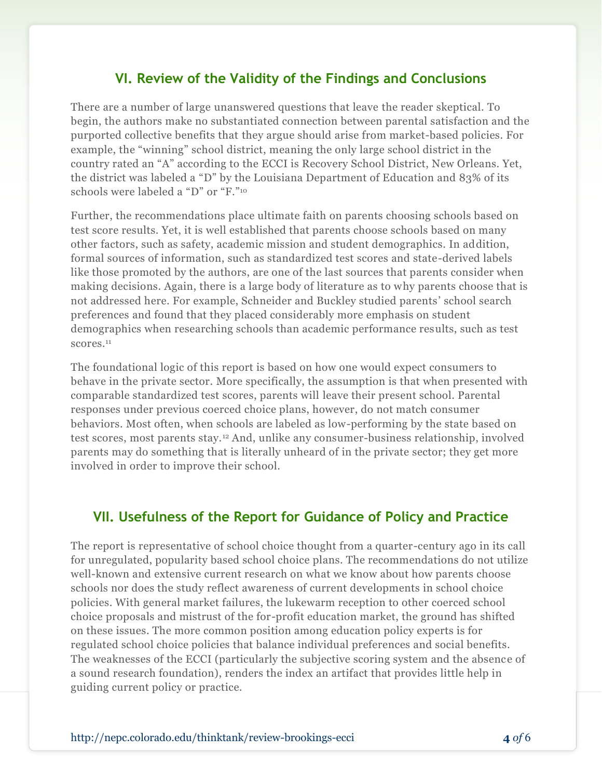#### **VI. Review of the Validity of the Findings and Conclusions**

There are a number of large unanswered questions that leave the reader skeptical. To begin, the authors make no substantiated connection between parental satisfaction and the purported collective benefits that they argue should arise from market-based policies. For example, the "winning" school district, meaning the only large school district in the country rated an "A" according to the ECCI is Recovery School District, New Orleans. Yet, the district was labeled a "D" by the Louisiana Department of Education and 83% of its schools were labeled a "D" [or](http://www.researchonreforms.org/html/documents/Paperon2012SPSk.pdf) "F." 10

Further, the recommendations place ultimate faith on parents choosing schools based on test score results. Yet, it is well established that parents choose schools based on many other factors, such as safety, academic mission and student demographics. In addition, formal sources of information, such as standardized test scores and state-derived labels like those promoted by the authors, are one of the last sources that parents consider when making decisions. Again, there is a large body of literature as to why parents choose that is not addressed here. For example, Schneider and Buckley studied parents' school search preferences and found that they placed considerably more emphasis on student demographics when researching schools than academic performance results, such as test scores.<sup>11</sup>

The foundational logic of this report is based on how one would expect consumers to behave in the private sector. More specifically, the assumption is that when presented with comparable standardized test scores, parents will leave their present school. Parental responses under previous coerced choice plans, however, do not match consumer behaviors. Most often, when schools are labeled as low-performing by the state based on test scores, most parents stay.<sup>12</sup> And, unlike any consumer-business relationship, involved parents may do something that is literally unheard of in the private sector; they get more involved in order to improve their school.

#### **VII. Usefulness of the Report for Guidance of Policy and Practice**

The report is representative of school choice thought from a quarter-century ago in its call for unregulated, popularity based school choice plans. The recommendations do not utilize well-known and extensive current research on what we know about how parents choose schools nor does the study reflect awareness of current developments in school choice policies. With general market failures, the lukewarm reception to other coerced school choice proposals and mistrust of the for-profit education market, the ground has shifted on these issues. The more common position among education policy experts is for regulated school choice policies that balance individual preferences and social benefits. The weaknesses of the ECCI (particularly the subjective scoring system and the absence of a sound research foundation), renders the index an artifact that provides little help in guiding current policy or practice.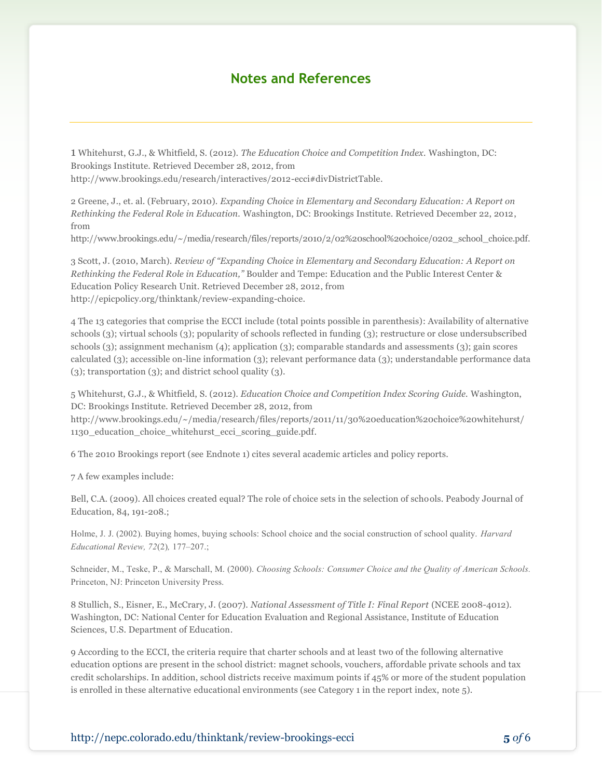#### **Notes and References**

1 Whitehurst, G.J., & Whitfield, S. (2012). *The Education Choice and Competition Index.* Washington, DC: Brookings Institute. Retrieved December 28, 2012, from http://www.brookings.edu/research/interactives/2012-ecci#divDistrictTable.

2 Greene, J., et. al. (February, 2010). *Expanding Choice in Elementary and Secondary Education: A Report on Rethinking the Federal Role in Education.* Washington, DC: Brookings Institute. Retrieved December 22, 2012, from

http://www.brookings.edu/~/media/research/files/reports/2010/2/02%20school%20choice/0202\_school\_choice.pdf.

3 Scott, J. (2010, March). *Review of "Expanding Choice in Elementary and Secondary Education: A Report on Rethinking the Federal Role in Education,"* Boulder and Tempe: Education and the Public Interest Center & Education Policy Research Unit. Retrieved December 28, 2012, from [http://epicpolicy.org/thinktank/review-expanding-choice.](http://epicpolicy.org/thinktank/review-expanding-choice)

4 The 13 categories that comprise the ECCI include (total points possible in parenthesis): Availability of alternative schools (3); virtual schools (3); popularity of schools reflected in funding (3); restructure or close undersubscribed schools (3); assignment mechanism (4); application (3); comparable standards and assessments (3); gain scores calculated (3); accessible on-line information (3); relevant performance data (3); understandable performance data (3); transportation (3); and district school quality (3).

5 Whitehurst, G.J., & Whitfield, S. (2012). *Education Choice and Competition Index Scoring Guide.* Washington, DC: Brookings Institute. Retrieved December 28, 2012, from http://www.brookings.edu/~/media/research/files/reports/2011/11/30%20education%20choice%20whitehurst/ 1130\_education\_choice\_whitehurst\_ecci\_scoring\_guide.pdf.

6 The 2010 Brookings report (see Endnote 1) cites several academic articles and policy reports.

7 A few examples include:

Bell, C.A. (2009). All choices created equal? The role of choice sets in the selection of schools. Peabody Journal of Education, 84, 191-208.;

Holme, J. J. (2002). Buying homes, buying schools: School choice and the social construction of school quality. *Harvard Educational Review, 72*(2)*,* 177–207.;

Schneider, M., Teske, P., & Marschall, M. (2000). *Choosing Schools: Consumer Choice and the Quality of American Schools.*  Princeton, NJ: Princeton University Press.

8 Stullich, S., Eisner, E., McCrary, J. (2007). *National Assessment of Title I: Final Report* (NCEE 2008-4012). Washington, DC: National Center for Education Evaluation and Regional Assistance, Institute of Education Sciences, U.S. Department of Education.

9 According to the ECCI, the criteria require that charter schools and at least two of the following alternative education options are present in the school district: magnet schools, vouchers, affordable private schools and tax credit scholarships. In addition, school districts receive maximum points if 45% or more of the student population is enrolled in these alternative educational environments (see Category 1 in the report index, note 5).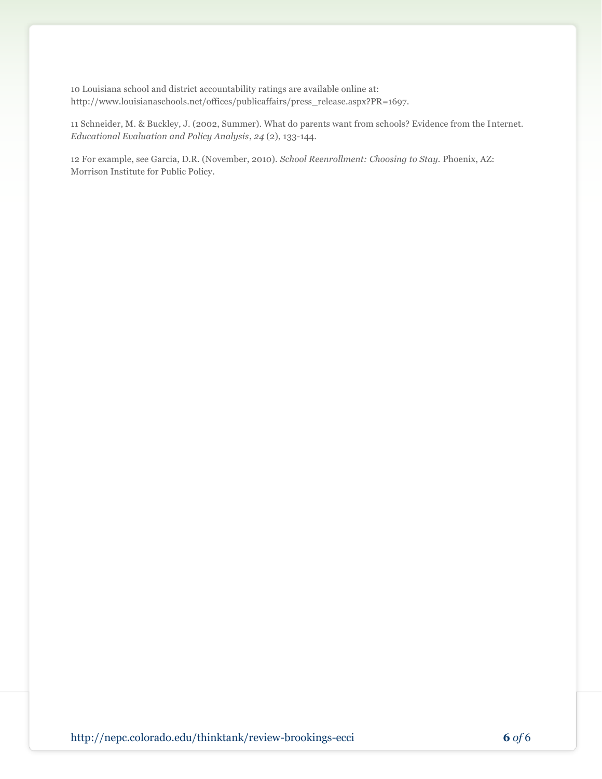10 Louisiana school and district accountability ratings are available online at: http://www.louisianaschools.net/offices/publicaffairs/press\_release.aspx?PR=1697.

11 Schneider, M. & Buckley, J. (2002, Summer). What do parents want from schools? Evidence from the Internet. *Educational Evaluation and Policy Analysis*, *24* (2), 133-144.

12 For example, see Garcia, D.R. (November, 2010). *School Reenrollment: Choosing to Stay.* Phoenix, AZ: Morrison Institute for Public Policy.